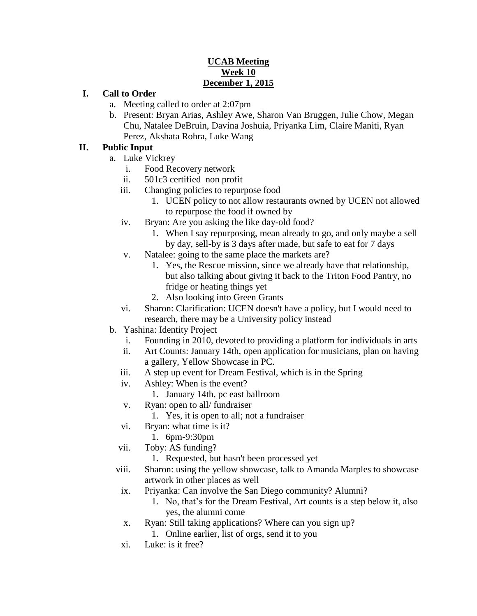## **UCAB Meeting Week 10 December 1, 2015**

## **I. Call to Order**

- a. Meeting called to order at 2:07pm
- b. Present: Bryan Arias, Ashley Awe, Sharon Van Bruggen, Julie Chow, Megan Chu, Natalee DeBruin, Davina Joshuia, Priyanka Lim, Claire Maniti, Ryan Perez, Akshata Rohra, Luke Wang

#### **II. Public Input**

- a. Luke Vickrey
	- i. Food Recovery network
	- ii. 501c3 certified non profit
	- iii. Changing policies to repurpose food
		- 1. UCEN policy to not allow restaurants owned by UCEN not allowed to repurpose the food if owned by
	- iv. Bryan: Are you asking the like day-old food?
		- 1. When I say repurposing, mean already to go, and only maybe a sell by day, sell-by is 3 days after made, but safe to eat for 7 days
	- v. Natalee: going to the same place the markets are?
		- 1. Yes, the Rescue mission, since we already have that relationship, but also talking about giving it back to the Triton Food Pantry, no fridge or heating things yet
		- 2. Also looking into Green Grants
	- vi. Sharon: Clarification: UCEN doesn't have a policy, but I would need to research, there may be a University policy instead
- b. Yashina: Identity Project
	- i. Founding in 2010, devoted to providing a platform for individuals in arts
	- ii. Art Counts: January 14th, open application for musicians, plan on having a gallery, Yellow Showcase in PC.
	- iii. A step up event for Dream Festival, which is in the Spring
	- iv. Ashley: When is the event?
		- 1. January 14th, pc east ballroom
	- v. Ryan: open to all/ fundraiser
		- 1. Yes, it is open to all; not a fundraiser
	- vi. Bryan: what time is it?
		- 1. 6pm-9:30pm
	- vii. Toby: AS funding?
		- 1. Requested, but hasn't been processed yet
	- viii. Sharon: using the yellow showcase, talk to Amanda Marples to showcase artwork in other places as well
	- ix. Priyanka: Can involve the San Diego community? Alumni?
		- 1. No, that's for the Dream Festival, Art counts is a step below it, also yes, the alumni come
	- x. Ryan: Still taking applications? Where can you sign up?
		- 1. Online earlier, list of orgs, send it to you
	- xi. Luke: is it free?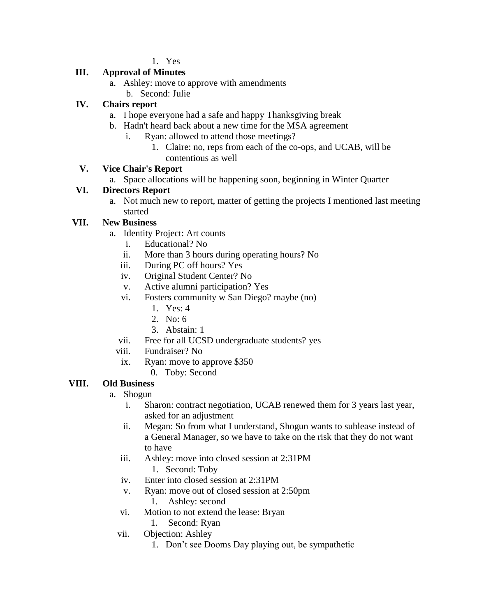1. Yes

# **III. Approval of Minutes**

- a. Ashley: move to approve with amendments
	- b. Second: Julie

# **IV. Chairs report**

- a. I hope everyone had a safe and happy Thanksgiving break
- b. Hadn't heard back about a new time for the MSA agreement
	- i. Ryan: allowed to attend those meetings?
		- 1. Claire: no, reps from each of the co-ops, and UCAB, will be contentious as well

# **V. Vice Chair's Report**

a. Space allocations will be happening soon, beginning in Winter Quarter

# **VI. Directors Report**

a. Not much new to report, matter of getting the projects I mentioned last meeting started

# **VII. New Business**

- a. Identity Project: Art counts
	- i. Educational? No
	- ii. More than 3 hours during operating hours? No
	- iii. During PC off hours? Yes
	- iv. Original Student Center? No
	- v. Active alumni participation? Yes
	- vi. Fosters community w San Diego? maybe (no)
		- 1. Yes: 4
		- 2. No: 6
		- 3. Abstain: 1
	- vii. Free for all UCSD undergraduate students? yes
	- viii. Fundraiser? No
	- ix. Ryan: move to approve \$350
		- 0. Toby: Second

## **VIII. Old Business**

- a. Shogun
	- i. Sharon: contract negotiation, UCAB renewed them for 3 years last year, asked for an adjustment
	- ii. Megan: So from what I understand, Shogun wants to sublease instead of a General Manager, so we have to take on the risk that they do not want to have
	- iii. Ashley: move into closed session at 2:31PM 1. Second: Toby
	- iv. Enter into closed session at 2:31PM
	- v. Ryan: move out of closed session at 2:50pm
		- 1. Ashley: second
	- vi. Motion to not extend the lease: Bryan
		- 1. Second: Ryan
	- vii. Objection: Ashley
		- 1. Don't see Dooms Day playing out, be sympathetic